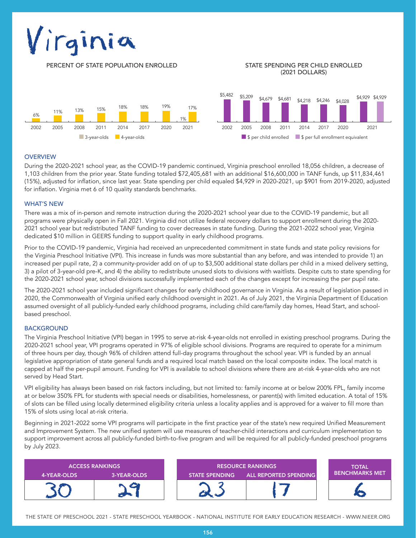# Virginia

PERCENT OF STATE POPULATION ENROLLED STATE SPENDING PER CHILD ENROLLED

# (2021 DOLLARS)



## **OVERVIEW**

During the 2020-2021 school year, as the COVID-19 pandemic continued, Virginia preschool enrolled 18,056 children, a decrease of 1,103 children from the prior year. State funding totaled \$72,405,681 with an additional \$16,600,000 in TANF funds, up \$11,834,461 (15%), adjusted for inflation, since last year. State spending per child equaled \$4,929 in 2020-2021, up \$901 from 2019-2020, adjusted for inflation. Virginia met 6 of 10 quality standards benchmarks.

#### WHAT'S NEW

There was a mix of in-person and remote instruction during the 2020-2021 school year due to the COVID-19 pandemic, but all programs were physically open in Fall 2021. Virginia did not utilize federal recovery dollars to support enrollment during the 2020- 2021 school year but redistributed TANF funding to cover decreases in state funding. During the 2021-2022 school year, Virginia dedicated \$10 million in GEERS funding to support quality in early childhood programs.

Prior to the COVID-19 pandemic, Virginia had received an unprecedented commitment in state funds and state policy revisions for the Virginia Preschool Initiative (VPI). This increase in funds was more substantial than any before, and was intended to provide 1) an increased per pupil rate, 2) a community-provider add on of up to \$3,500 additional state dollars per child in a mixed delivery setting, 3) a pilot of 3-year-old pre-K, and 4) the ability to redistribute unused slots to divisions with waitlists. Despite cuts to state spending for the 2020-2021 school year, school divisions successfully implemented each of the changes except for increasing the per pupil rate.

The 2020-2021 school year included significant changes for early childhood governance in Virginia. As a result of legislation passed in 2020, the Commonwealth of Virginia unified early childhood oversight in 2021. As of July 2021, the Virginia Department of Education assumed oversight of all publicly-funded early childhood programs, including child care/family day homes, Head Start, and schoolbased preschool.

## **BACKGROUND**

The Virginia Preschool Initiative (VPI) began in 1995 to serve at-risk 4-year-olds not enrolled in existing preschool programs. During the 2020-2021 school year, VPI programs operated in 97% of eligible school divisions. Programs are required to operate for a minimum of three hours per day, though 96% of children attend full-day programs throughout the school year. VPI is funded by an annual legislative appropriation of state general funds and a required local match based on the local composite index. The local match is capped at half the per-pupil amount. Funding for VPI is available to school divisions where there are at-risk 4-year-olds who are not served by Head Start.

VPI eligibility has always been based on risk factors including, but not limited to: family income at or below 200% FPL, family income at or below 350% FPL for students with special needs or disabilities, homelessness, or parent(s) with limited education. A total of 15% of slots can be filled using locally determined eligibility criteria unless a locality applies and is approved for a waiver to fill more than 15% of slots using local at-risk criteria.

Beginning in 2021-2022 some VPI programs will participate in the first practice year of the state's new required Unified Measurement and Improvement System. The new unified system will use measures of teacher-child interactions and curriculum implementation to support improvement across all publicly-funded birth-to-five program and will be required for all publicly-funded preschool programs by July 2023.

| <b>ACCESS RANKINGS</b> |             | <b>RESOURCE RANKINGS</b> |                              | <b>TOTAL</b>          |
|------------------------|-------------|--------------------------|------------------------------|-----------------------|
| 4-YEAR-OLDS            | 3-YEAR-OLDS | <b>STATE SPENDING</b>    | <b>ALL REPORTED SPENDING</b> | <b>BENCHMARKS MET</b> |
|                        | G           |                          |                              |                       |

THE STATE OF PRESCHOOL 2021 - STATE PRESCHOOL YEARBOOK - NATIONAL INSTITUTE FOR EARLY EDUCATION RESEARCH - WWW.NIEER.ORG